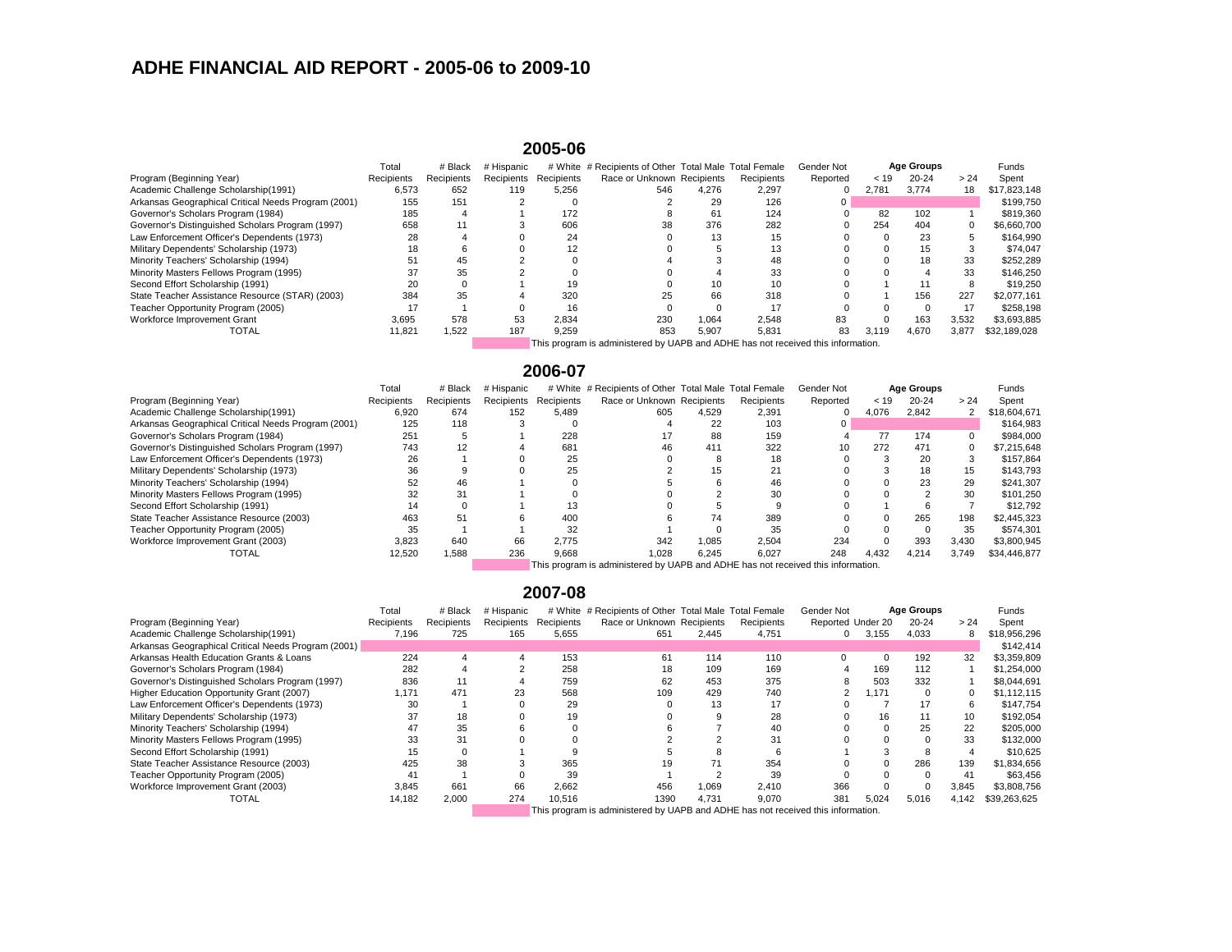# **ADHE FINANCIAL AID REPORT - 2005-06 to 2009-10**

#### **2005-06**

|                                                                                  | Total      | # Black    | # Hispanic |            | # White # Recipients of Other Total Male Total Female |       |            | <b>Gender Not</b> |       | <b>Age Groups</b> |       | <b>Funds</b> |
|----------------------------------------------------------------------------------|------------|------------|------------|------------|-------------------------------------------------------|-------|------------|-------------------|-------|-------------------|-------|--------------|
| Program (Beginning Year)                                                         | Recipients | Recipients | Recipients | Recipients | Race or Unknown Recipients                            |       | Recipients | Reported          | < 19  | $20 - 24$         | > 24  | Spent        |
| Academic Challenge Scholarship(1991)                                             | 6,573      | 652        | 119        | 5,256      | 546                                                   | 4,276 | 2,297      |                   | 2,781 | 3,774             | 18    | \$17,823,148 |
| Arkansas Geographical Critical Needs Program (2001)                              | 155        | 151        |            |            |                                                       | 29    | 126        |                   |       |                   |       | \$199,750    |
| Governor's Scholars Program (1984)                                               | 185        |            |            | 172        |                                                       | 61    | 124        |                   | 82    | 102               |       | \$819,360    |
| Governor's Distinguished Scholars Program (1997)                                 | 658        |            |            | 606        | 38                                                    | 376   | 282        |                   | 254   | 404               |       | \$6,660,700  |
| Law Enforcement Officer's Dependents (1973)                                      | 28         |            |            | 24         |                                                       | 13    |            |                   |       | 23                |       | \$164,990    |
| Military Dependents' Scholarship (1973)                                          | 18         |            |            | 12         |                                                       |       |            |                   |       | 15                |       | \$74,047     |
| Minority Teachers' Scholarship (1994)                                            | 51         | 45         |            |            |                                                       |       | 48         |                   |       | 18                | 33    | \$252,289    |
| Minority Masters Fellows Program (1995)                                          |            | 35         |            |            |                                                       |       | 33         |                   |       |                   | 33    | \$146,250    |
| Second Effort Scholarship (1991)                                                 |            |            |            | 19         |                                                       | 10    |            |                   |       |                   |       | \$19,250     |
| State Teacher Assistance Resource (STAR) (2003)                                  | 384        | 35         |            | 320        | 25                                                    | 66    | 318        |                   |       | 156               | 227   | \$2,077,161  |
| Teacher Opportunity Program (2005)                                               |            |            |            | 16         |                                                       |       | 17         |                   |       |                   |       | \$258,198    |
| Workforce Improvement Grant                                                      | 3,695      | 578        | 53         | 2,834      | 230                                                   | 1,064 | 2,548      | 83                |       | 163               | 3,532 | \$3,693,885  |
| <b>TOTAL</b>                                                                     | 11,821     | 1,522      | 187        | 9,259      | 853                                                   | 5,907 | 5,831      | 83                | 3,119 | 4,670             | 3,877 | \$32,189,028 |
| This program is administered by UAPB and ADHE has not received this information. |            |            |            |            |                                                       |       |            |                   |       |                   |       |              |

## **2006-07**

|                                                     | Total      | # Black    | # Hispanic |            | # White # Recipients of Other Total Male Total Female                            |       |            | <b>Gender Not</b> |       | <b>Age Groups</b> |       | <b>Funds</b> |
|-----------------------------------------------------|------------|------------|------------|------------|----------------------------------------------------------------------------------|-------|------------|-------------------|-------|-------------------|-------|--------------|
| Program (Beginning Year)                            | Recipients | Recipients | Recipients | Recipients | Race or Unknown Recipients                                                       |       | Recipients | Reported          | < 19  | $20 - 24$         | > 24  | Spent        |
| Academic Challenge Scholarship(1991)                | 6,920      | 674        | 152        | 5,489      | 605                                                                              | 4,529 | 2,391      |                   | 4,076 | 2,842             |       | \$18,604,671 |
| Arkansas Geographical Critical Needs Program (2001) | 125        | 118        |            |            |                                                                                  | 22    | 103        |                   |       |                   |       | \$164,983    |
| Governor's Scholars Program (1984)                  | 251        |            |            | 228        |                                                                                  | 88    | 159        |                   | 77    | 174               |       | \$984,000    |
| Governor's Distinguished Scholars Program (1997)    | 743        |            |            | 681        | 46                                                                               | 411   | 322        | 10                | 272   | 471               |       | \$7,215,648  |
| Law Enforcement Officer's Dependents (1973)         | 26         |            |            | 25         |                                                                                  | Õ     | 18         |                   |       | 20                |       | \$157,864    |
| Military Dependents' Scholarship (1973)             |            |            |            | 25         |                                                                                  |       | 21         |                   |       | 18                | 15    | \$143,793    |
| Minority Teachers' Scholarship (1994)               |            | 46         |            |            |                                                                                  |       |            |                   |       | 23                | 29    | \$241,307    |
| Minority Masters Fellows Program (1995)             |            | 31         |            |            |                                                                                  |       | 30         |                   |       |                   | 30    | \$101,250    |
| Second Effort Scholarship (1991)                    |            |            |            |            |                                                                                  |       |            |                   |       |                   |       | \$12,792     |
| State Teacher Assistance Resource (2003)            | 463        | 51         |            | 400        |                                                                                  | 74    | 389        |                   | 0     | 265               | 198   | \$2,445,323  |
| Teacher Opportunity Program (2005)                  |            |            |            | 32         |                                                                                  |       | 35         |                   |       |                   | 35    | \$574,301    |
| Workforce Improvement Grant (2003)                  | 3,823      | 640        | 66         | 2,775      | 342                                                                              | 1,085 | 2,504      | 234               |       | 393               | 3,430 | \$3,800,945  |
| <b>TOTAL</b>                                        | 12,520     | 1,588      | 236        | 9,668      | 1,028                                                                            | 6,245 | 6,027      | 248               | 4,432 | 4,214             | 3,749 | \$34,446,877 |
|                                                     |            |            |            |            | This program is administored by LIADR and ADHE has not received this information |       |            |                   |       |                   |       |              |

This program is administered by UAPB and ADHE has not received this information.

#### **2007-08**

|                                                     | Total      | # Black    | # Hispanic |            | # White # Recipients of Other Total Male Total Female                            |       |            | Gender Not               |       | <b>Age Groups</b> |       | <b>Funds</b> |
|-----------------------------------------------------|------------|------------|------------|------------|----------------------------------------------------------------------------------|-------|------------|--------------------------|-------|-------------------|-------|--------------|
| Program (Beginning Year)                            | Recipients | Recipients | Recipients | Recipients | Race or Unknown Recipients                                                       |       | Recipients | <b>Reported Under 20</b> |       | $20 - 24$         | > 24  | Spent        |
| Academic Challenge Scholarship(1991)                | 7,196      | 725        | 165        | 5,655      | 651                                                                              | 2,445 | 4,751      | $\Omega$                 | 3,155 | 4,033             |       | \$18,956,296 |
| Arkansas Geographical Critical Needs Program (2001) |            |            |            |            |                                                                                  |       |            |                          |       |                   |       | \$142,414    |
| <b>Arkansas Health Education Grants &amp; Loans</b> | 224        |            |            | 153        | 61                                                                               | 114   | 110        |                          |       | 192               | 32    | \$3,359,809  |
| Governor's Scholars Program (1984)                  | 282        |            |            | 258        | 18                                                                               | 109   | 169        |                          | 169   | 112               |       | \$1,254,000  |
| Governor's Distinguished Scholars Program (1997)    | 836        |            |            | 759        | 62                                                                               | 453   | 375        |                          | 503   | 332               |       | \$8,044,691  |
| Higher Education Opportunity Grant (2007)           | 171.ا      | 471        | 23         | 568        | 109                                                                              | 429   | 740        |                          | 1,171 |                   |       | \$1,112,115  |
| Law Enforcement Officer's Dependents (1973)         | 30         |            |            | 29         |                                                                                  | 13    |            |                          |       |                   |       | \$147,754    |
| Military Dependents' Scholarship (1973)             |            | 18         |            | 19         |                                                                                  |       | 28         |                          | 16    |                   |       | \$192,054    |
| Minority Teachers' Scholarship (1994)               |            | 35         |            |            |                                                                                  |       | 40         |                          |       | 25                | 22    | \$205,000    |
| Minority Masters Fellows Program (1995)             | 33         | 31         |            |            |                                                                                  |       | 31         |                          |       |                   | 33    | \$132,000    |
| Second Effort Scholarship (1991)                    |            |            |            |            |                                                                                  |       |            |                          |       |                   |       | \$10,625     |
| State Teacher Assistance Resource (2003)            | 425        | 38         |            | 365        | 19.                                                                              |       | 354        |                          |       | 286               | 139   | \$1,834,656  |
| Teacher Opportunity Program (2005)                  |            |            |            | 39         |                                                                                  |       | 39         |                          |       |                   | -41   | \$63,456     |
| Workforce Improvement Grant (2003)                  | 3,845      | 661        | 66         | 2,662      | 456                                                                              | 1,069 | 2,410      | 366                      |       |                   | 3,845 | \$3,808,756  |
| <b>TOTAL</b>                                        | 14,182     | 2,000      | 274        | 10,516     | 1390                                                                             | 4,731 | 9,070      | 381                      | 5,024 | 5,016             | 4,142 | \$39,263,625 |
|                                                     |            |            |            |            | This program is administorad by LIADD and ADHE has not resolved this information |       |            |                          |       |                   |       |              |

This program is administered by UAPB and ADHE has not received this information.